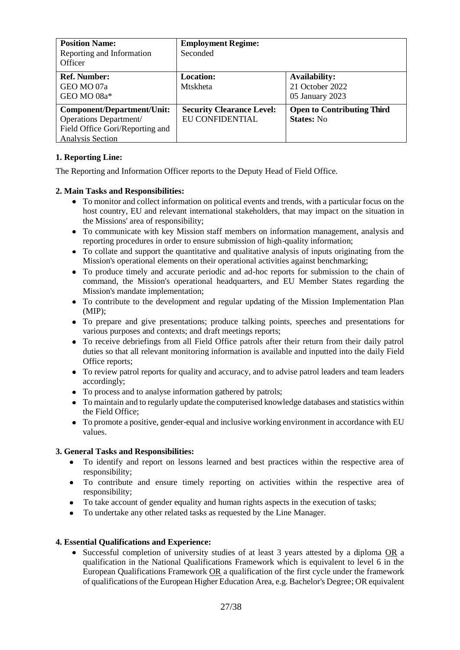| <b>Position Name:</b><br>Reporting and Information<br>Officer                                                             | <b>Employment Regime:</b><br>Seconded               |                                                            |
|---------------------------------------------------------------------------------------------------------------------------|-----------------------------------------------------|------------------------------------------------------------|
| <b>Ref. Number:</b><br>GEO MO 07a<br>GEO MO 08a*                                                                          | <b>Location:</b><br><b>Mtskheta</b>                 | <b>Availability:</b><br>21 October 2022<br>05 January 2023 |
| <b>Component/Department/Unit:</b><br>Operations Department/<br>Field Office Gori/Reporting and<br><b>Analysis Section</b> | <b>Security Clearance Level:</b><br>EU CONFIDENTIAL | <b>Open to Contributing Third</b><br><b>States:</b> No     |

## **1. Reporting Line:**

The Reporting and Information Officer reports to the Deputy Head of Field Office.

## **2. Main Tasks and Responsibilities:**

- To monitor and collect information on political events and trends, with a particular focus on the host country, EU and relevant international stakeholders, that may impact on the situation in the Missions' area of responsibility;
- To communicate with key Mission staff members on information management, analysis and reporting procedures in order to ensure submission of high-quality information;
- To collate and support the quantitative and qualitative analysis of inputs originating from the Mission's operational elements on their operational activities against benchmarking;
- To produce timely and accurate periodic and ad-hoc reports for submission to the chain of command, the Mission's operational headquarters, and EU Member States regarding the Mission's mandate implementation;
- To contribute to the development and regular updating of the Mission Implementation Plan (MIP);
- To prepare and give presentations; produce talking points, speeches and presentations for various purposes and contexts; and draft meetings reports;
- To receive debriefings from all Field Office patrols after their return from their daily patrol duties so that all relevant monitoring information is available and inputted into the daily Field Office reports;
- To review patrol reports for quality and accuracy, and to advise patrol leaders and team leaders accordingly;
- To process and to analyse information gathered by patrols;
- To maintain and to regularly update the computerised knowledge databases and statistics within the Field Office;
- To promote a positive, gender-equal and inclusive working environment in accordance with EU values.

# **3. General Tasks and Responsibilities:**

- $\bullet$ To identify and report on lessons learned and best practices within the respective area of responsibility;
- To contribute and ensure timely reporting on activities within the respective area of responsibility;
- To take account of gender equality and human rights aspects in the execution of tasks;
- To undertake any other related tasks as requested by the Line Manager.

### **4. Essential Qualifications and Experience:**

• Successful completion of university studies of at least 3 years attested by a diploma OR a qualification in the National Qualifications Framework which is equivalent to level 6 in the European Qualifications Framework OR a qualification of the first cycle under the framework of qualifications of the European Higher Education Area, e.g. Bachelor's Degree; OR equivalent